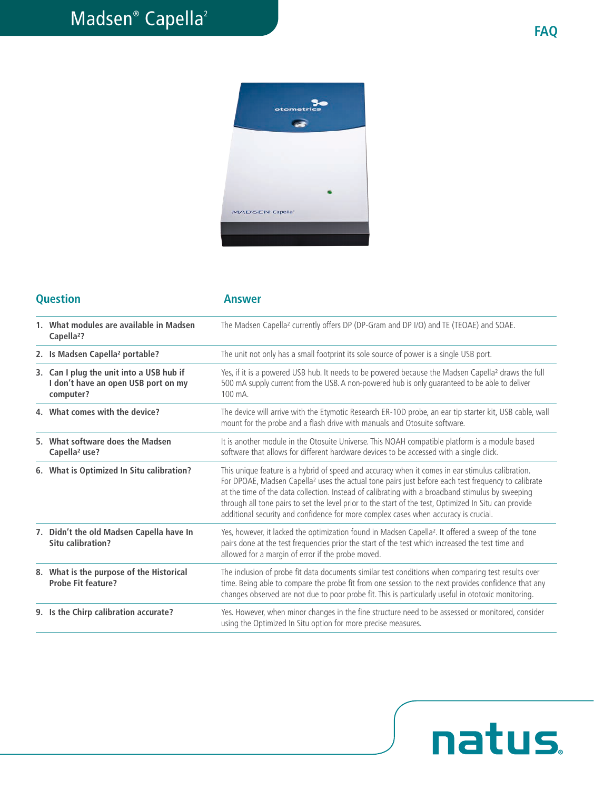natus.



## **Question Answer**

| 1. What modules are available in Madsen<br>Capella <sup>2</sup> ?                            | The Madsen Capella <sup>2</sup> currently offers DP (DP-Gram and DP I/O) and TE (TEOAE) and SOAE.                                                                                                                                                                                                                                                                                                                                                                                                                      |
|----------------------------------------------------------------------------------------------|------------------------------------------------------------------------------------------------------------------------------------------------------------------------------------------------------------------------------------------------------------------------------------------------------------------------------------------------------------------------------------------------------------------------------------------------------------------------------------------------------------------------|
| 2. Is Madsen Capella <sup>2</sup> portable?                                                  | The unit not only has a small footprint its sole source of power is a single USB port.                                                                                                                                                                                                                                                                                                                                                                                                                                 |
| 3. Can I plug the unit into a USB hub if<br>I don't have an open USB port on my<br>computer? | Yes, if it is a powered USB hub. It needs to be powered because the Madsen Capella <sup>2</sup> draws the full<br>500 mA supply current from the USB. A non-powered hub is only quaranteed to be able to deliver<br>100 mA.                                                                                                                                                                                                                                                                                            |
| 4. What comes with the device?                                                               | The device will arrive with the Etymotic Research ER-10D probe, an ear tip starter kit, USB cable, wall<br>mount for the probe and a flash drive with manuals and Otosuite software.                                                                                                                                                                                                                                                                                                                                   |
| 5. What software does the Madsen<br>Capella <sup>2</sup> use?                                | It is another module in the Otosuite Universe. This NOAH compatible platform is a module based<br>software that allows for different hardware devices to be accessed with a single click.                                                                                                                                                                                                                                                                                                                              |
| 6. What is Optimized In Situ calibration?                                                    | This unique feature is a hybrid of speed and accuracy when it comes in ear stimulus calibration.<br>For DPOAE, Madsen Capella <sup>2</sup> uses the actual tone pairs just before each test frequency to calibrate<br>at the time of the data collection. Instead of calibrating with a broadband stimulus by sweeping<br>through all tone pairs to set the level prior to the start of the test, Optimized In Situ can provide<br>additional security and confidence for more complex cases when accuracy is crucial. |
| 7. Didn't the old Madsen Capella have In<br>Situ calibration?                                | Yes, however, it lacked the optimization found in Madsen Capella <sup>2</sup> . It offered a sweep of the tone<br>pairs done at the test frequencies prior the start of the test which increased the test time and<br>allowed for a margin of error if the probe moved.                                                                                                                                                                                                                                                |
| 8. What is the purpose of the Historical<br><b>Probe Fit feature?</b>                        | The inclusion of probe fit data documents similar test conditions when comparing test results over<br>time. Being able to compare the probe fit from one session to the next provides confidence that any<br>changes observed are not due to poor probe fit. This is particularly useful in ototoxic monitoring.                                                                                                                                                                                                       |
| 9. Is the Chirp calibration accurate?                                                        | Yes. However, when minor changes in the fine structure need to be assessed or monitored, consider<br>using the Optimized In Situ option for more precise measures.                                                                                                                                                                                                                                                                                                                                                     |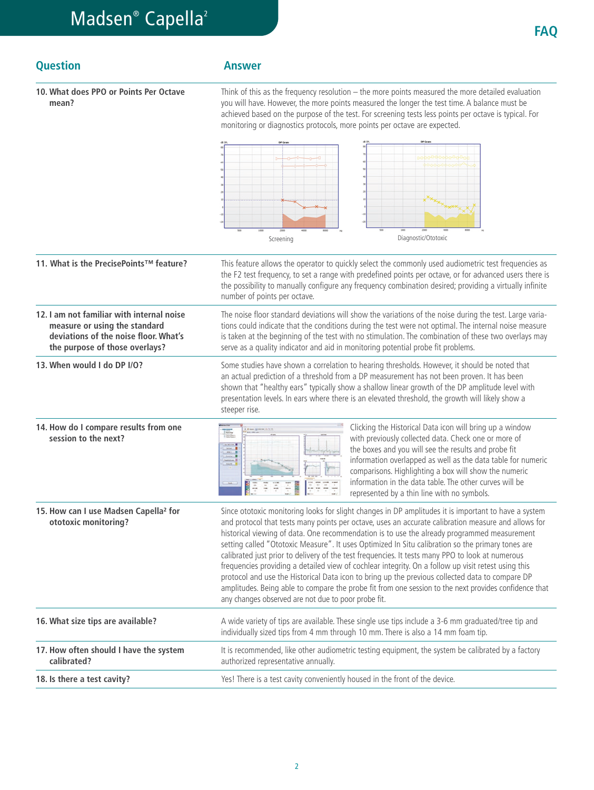| <b>Question</b>                                                                                                                                       | <b>Answer</b>                                                                                                                                                                                                                                                                                                                                                                                                                                                                                                                                                                                                                                                                                                                                                                                                                                                                                 |
|-------------------------------------------------------------------------------------------------------------------------------------------------------|-----------------------------------------------------------------------------------------------------------------------------------------------------------------------------------------------------------------------------------------------------------------------------------------------------------------------------------------------------------------------------------------------------------------------------------------------------------------------------------------------------------------------------------------------------------------------------------------------------------------------------------------------------------------------------------------------------------------------------------------------------------------------------------------------------------------------------------------------------------------------------------------------|
| 10. What does PPO or Points Per Octave<br>mean?                                                                                                       | Think of this as the frequency resolution - the more points measured the more detailed evaluation<br>you will have. However, the more points measured the longer the test time. A balance must be<br>achieved based on the purpose of the test. For screening tests less points per octave is typical. For<br>monitoring or diagnostics protocols, more points per octave are expected.                                                                                                                                                                                                                                                                                                                                                                                                                                                                                                       |
|                                                                                                                                                       | Diagnostic/Ototoxic<br>Screening                                                                                                                                                                                                                                                                                                                                                                                                                                                                                                                                                                                                                                                                                                                                                                                                                                                              |
|                                                                                                                                                       |                                                                                                                                                                                                                                                                                                                                                                                                                                                                                                                                                                                                                                                                                                                                                                                                                                                                                               |
| 11. What is the PrecisePoints™ feature?                                                                                                               | This feature allows the operator to quickly select the commonly used audiometric test frequencies as<br>the F2 test frequency, to set a range with predefined points per octave, or for advanced users there is<br>the possibility to manually configure any frequency combination desired; providing a virtually infinite<br>number of points per octave.                                                                                                                                                                                                                                                                                                                                                                                                                                                                                                                                    |
| 12. I am not familiar with internal noise<br>measure or using the standard<br>deviations of the noise floor. What's<br>the purpose of those overlays? | The noise floor standard deviations will show the variations of the noise during the test. Large varia-<br>tions could indicate that the conditions during the test were not optimal. The internal noise measure<br>is taken at the beginning of the test with no stimulation. The combination of these two overlays may<br>serve as a quality indicator and aid in monitoring potential probe fit problems.                                                                                                                                                                                                                                                                                                                                                                                                                                                                                  |
| 13. When would I do DP I/O?                                                                                                                           | Some studies have shown a correlation to hearing thresholds. However, it should be noted that<br>an actual prediction of a threshold from a DP measurement has not been proven. It has been<br>shown that "healthy ears" typically show a shallow linear growth of the DP amplitude level with<br>presentation levels. In ears where there is an elevated threshold, the growth will likely show a<br>steeper rise.                                                                                                                                                                                                                                                                                                                                                                                                                                                                           |
| 14. How do I compare results from one<br>session to the next?                                                                                         | Clicking the Historical Data icon will bring up a window<br>雇<br>with previously collected data. Check one or more of<br>the boxes and you will see the results and probe fit<br>information overlapped as well as the data table for numeric<br>comparisons. Highlighting a box will show the numeric<br>information in the data table. The other curves will be<br>represented by a thin line with no symbols.                                                                                                                                                                                                                                                                                                                                                                                                                                                                              |
| 15. How can I use Madsen Capella <sup>2</sup> for<br>ototoxic monitoring?                                                                             | Since ototoxic monitoring looks for slight changes in DP amplitudes it is important to have a system<br>and protocol that tests many points per octave, uses an accurate calibration measure and allows for<br>historical viewing of data. One recommendation is to use the already programmed measurement<br>setting called "Ototoxic Measure". It uses Optimized In Situ calibration so the primary tones are<br>calibrated just prior to delivery of the test frequencies. It tests many PPO to look at numerous<br>frequencies providing a detailed view of cochlear integrity. On a follow up visit retest using this<br>protocol and use the Historical Data icon to bring up the previous collected data to compare DP<br>amplitudes. Being able to compare the probe fit from one session to the next provides confidence that<br>any changes observed are not due to poor probe fit. |
| 16. What size tips are available?                                                                                                                     | A wide variety of tips are available. These single use tips include a 3-6 mm graduated/tree tip and<br>individually sized tips from 4 mm through 10 mm. There is also a 14 mm foam tip.                                                                                                                                                                                                                                                                                                                                                                                                                                                                                                                                                                                                                                                                                                       |
| 17. How often should I have the system<br>calibrated?                                                                                                 | It is recommended, like other audiometric testing equipment, the system be calibrated by a factory<br>authorized representative annually.                                                                                                                                                                                                                                                                                                                                                                                                                                                                                                                                                                                                                                                                                                                                                     |
| 18. Is there a test cavity?                                                                                                                           | Yes! There is a test cavity conveniently housed in the front of the device.                                                                                                                                                                                                                                                                                                                                                                                                                                                                                                                                                                                                                                                                                                                                                                                                                   |